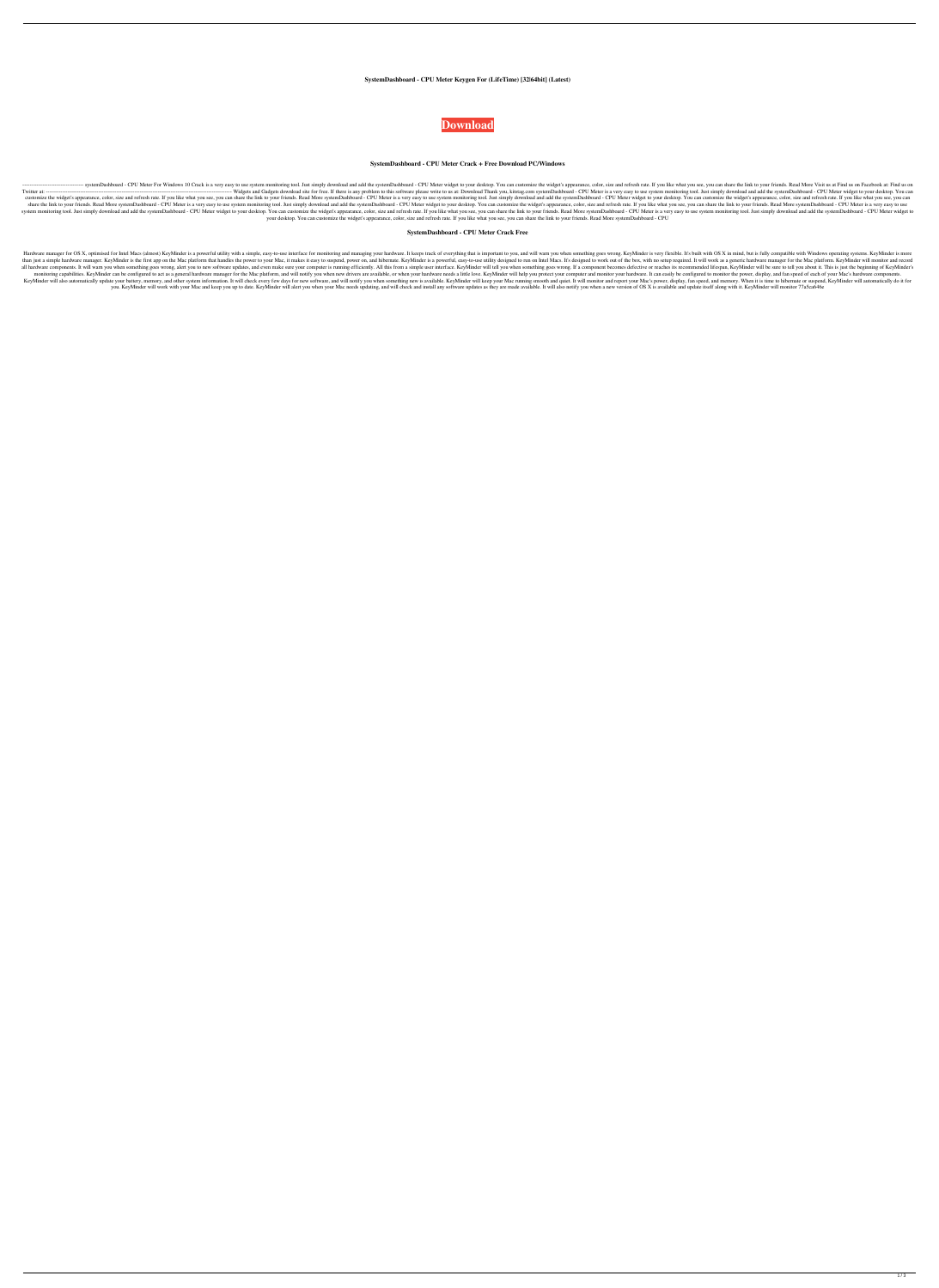### **SystemDashboard - CPU Meter Keygen For (LifeTime) [32|64bit] (Latest)**



#### **SystemDashboard - CPU Meter Crack + Free Download PC/Windows**

----- systemDashboard - CPU Meter For Windows 10 Crack is a very easy to use system monitoring tool. Just simply download and add the systemDashboard - CPU Meter widget to your desktop. You can customize the widget's appea Twitter at: ------------------------------------------------------------------------------------------------------- Widgets and Gadgets download site for free. If there is any problem to this software please write to us at: Download Thank you, kitstag.com systemDashboard - CPU Meter is a very easy to use system monitoring tool. Just simply download and add the systemDashboard - CPU Meter widget to your desktop. You can customize the widget's appearance, color, size and refresh rate. If you like what you see, you can share the link to your friends. Read More systemDashboard - CPU Meter is a very easy to use system monitoring tool. Just si share the link to your friends. Read More systemDashboard - CPU Meter is a very easy to use system monitoring tool. Just simply download and add the systemDashboard - CPU Meter widget to your desktop. You can customize the system monitoring tool. Just simply download and add the systemDashboard - CPU Meter widget to your desktop. You can customize the widget's appearance, color, size and refresh rate. If you like what you see, you can share your desktop. You can customize the widget's appearance, color, size and refresh rate. If you like what you see, you can share the link to your friends. Read More systemDashboard - CPU

### **SystemDashboard - CPU Meter Crack Free**

Hardware manager for OS X, optimised for Intel Macs (almost) KeyMinder is a powerful utility with a simple, easy-to-use interface for monitoring and managing your hardware. It keeps track of everything that is important to than just a simple hardware manager. KeyMinder is the first app on the Mac platform that handles the power to your Mac, it makes it easy to suspend, power on, and hibernate. KeyMinder is a powerful, easy-to-use utility des all hardware components. It will warn you when something goes wrong, alert you to new software updates, and even make sure your computer is running efficiently. All this from a simple user interface. KeyMinder will tell yo monitoring capabilities. KeyMinder can be configured to act as a general hardware manager for the Mac platform, and will notify you when new drivers are available, or when your hardware needs a little love. KeyMinder will KeyMinder will also automatically update your battery, memory, and other system information. It will check every few days for new software, and will notify you when something new is available. KeyMinder will keep your Mac' you. KeyMinder will work with your Mac and keep you up to date. KeyMinder will alert you when your Mac needs updating, and will check and install any software updates as they are made available. It will also notify you whe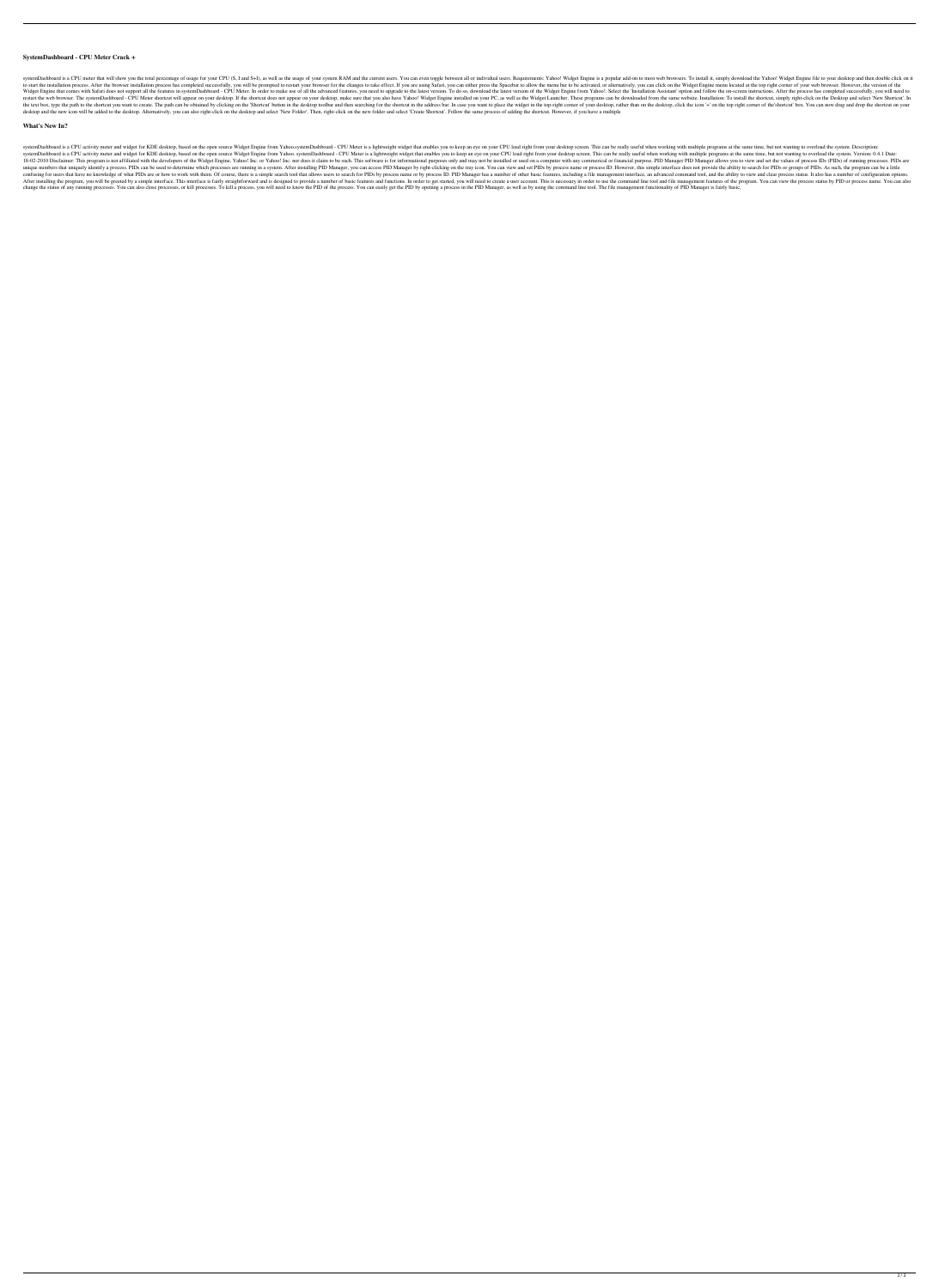### **SystemDashboard - CPU Meter Crack +**

systemDashboard is a CPU meter that will show you the total percentage of usage for your CPU (S, I and S+I), as well as the usage of your system RAM and the current users. You can even toggle between all or individual user to start the installation process. After the browser installation process has completed successfully, you will be prompted to restart your browser for the changes to take effect. If you are using Safari, you can either pre Widget Engine that comes with Safari does not support all the features in systemDashboard - CPU Meter. In order to make use of all the advanced features, you need to upgrade to the latest version. To do so, download the la restart the web browser. The systemDashboard - CPU Meter shortcut will appear on your desktop. If the shortcut does not appear on your desktop, make sure that you also have Yahoo! Widget Engine installed on your PC, as wel the text box, type the path to the shortcut you want to create. The path can be obtained by clicking on the 'Shortcut' button in the desktop toolbar and then searching for the shortcut in the address bar. In case you want desktop and the new icon will be added to the desktop. Alternatively, you can also right-click on the desktop and select 'New Folder'. Then, right-click on the new folder and select 'Create Shortcut'. Follow the same proce

#### **What's New In?**

systemDashboard is a CPU activity meter and widget for KDE desktop, based on the open source Widget Engine from Yahoo.systemDashboard - CPU Meter is a lightweight widget that enables you to keep an eye on your CPU load rig systemDashboard is a CPU activity meter and widget for KDE desktop, based on the open source Widget Engine from Yahoo. systemDashboard - CPU Meter is a lightweight widget that enables you to keep an eye on your desktop scr 18-02-2010 Disclaimer: This program is not affiliated with the developers of the Widget Engine, Yahoo! Inc. or Yahoo! Inc. or Yahoo! Inc. nor does it claim to be such. This software is for informational purposes only and m unique numbers that uniquely identify a process. PIDs can be used to determine which processes are running in a system. After installing PID Manager, you can access PID Manager by right-clicking on the tray icon. You can v confusing for users that have no knowledge of what PIDs are or how to work with them. Of course, there is a simple search tool that allows users to search for PIDs by process name or by process ID. PID Manager has a number After installing the program, you will be greeted by a simple interface. This interface is fairly straightforward and is designed to provide a number of basic features and functions. In order to get started, you will need change the status of any running processes. You can also close processes, or kill processes. To kill a processes. To kill a process, you will need to know the PID of the process. You can easily get the PID by opening a pro